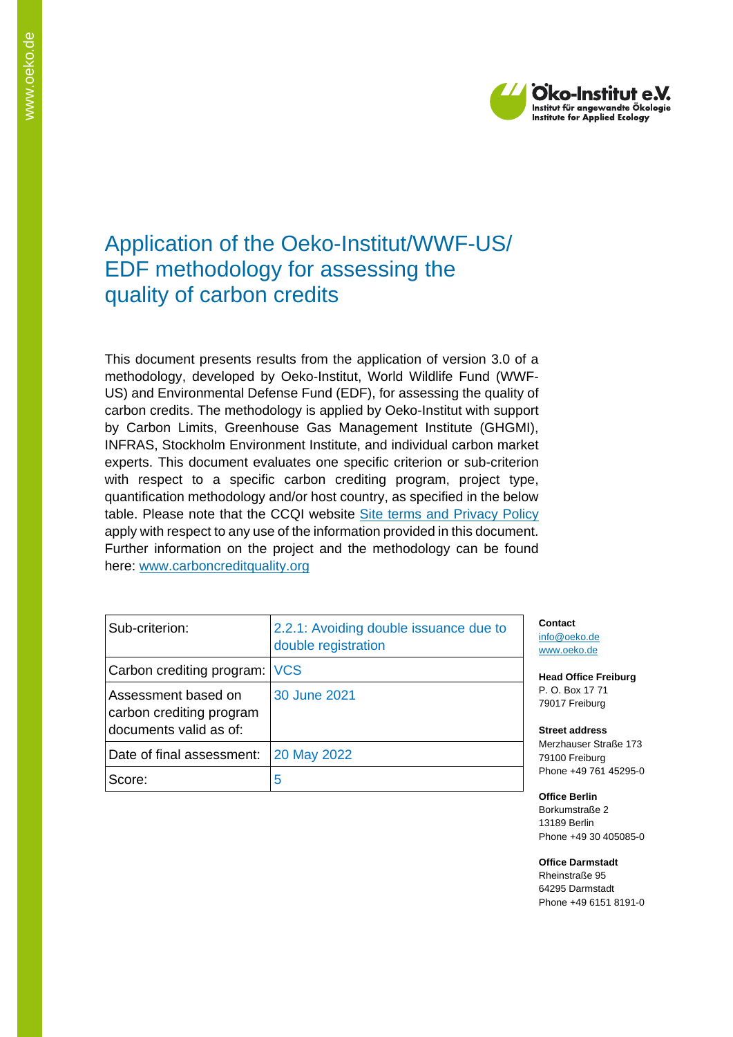

# Application of the Oeko-Institut/WWF-US/ EDF methodology for assessing the quality of carbon credits

This document presents results from the application of version 3.0 of a methodology, developed by Oeko-Institut, World Wildlife Fund (WWF-US) and Environmental Defense Fund (EDF), for assessing the quality of carbon credits. The methodology is applied by Oeko-Institut with support by Carbon Limits, Greenhouse Gas Management Institute (GHGMI), INFRAS, Stockholm Environment Institute, and individual carbon market experts. This document evaluates one specific criterion or sub-criterion with respect to a specific carbon crediting program, project type, quantification methodology and/or host country, as specified in the below table. Please note that the CCQI website [Site terms and Privacy Policy](https://carboncreditquality.org/terms.html) apply with respect to any use of the information provided in this document. Further information on the project and the methodology can be found here: [www.carboncreditquality.org](http://www.carboncreditquality.org/)

| Sub-criterion:                                                            | 2.2.1: Avoiding double issuance due to<br>double registration |
|---------------------------------------------------------------------------|---------------------------------------------------------------|
| Carbon crediting program: VCS                                             |                                                               |
| Assessment based on<br>carbon crediting program<br>documents valid as of: | 30 June 2021                                                  |
| Date of final assessment:                                                 | 20 May 2022                                                   |
| Score:                                                                    | 5                                                             |

**Contact** [info@oeko.de](mailto:info@oeko.de) [www.oeko.de](http://www.oeko.de/)

**Head Office Freiburg** P. O. Box 17 71 79017 Freiburg

**Street address** Merzhauser Straße 173 79100 Freiburg Phone +49 761 45295-0

**Office Berlin** Borkumstraße 2 13189 Berlin Phone +49 30 405085-0

**Office Darmstadt** Rheinstraße 95 64295 Darmstadt Phone +49 6151 8191-0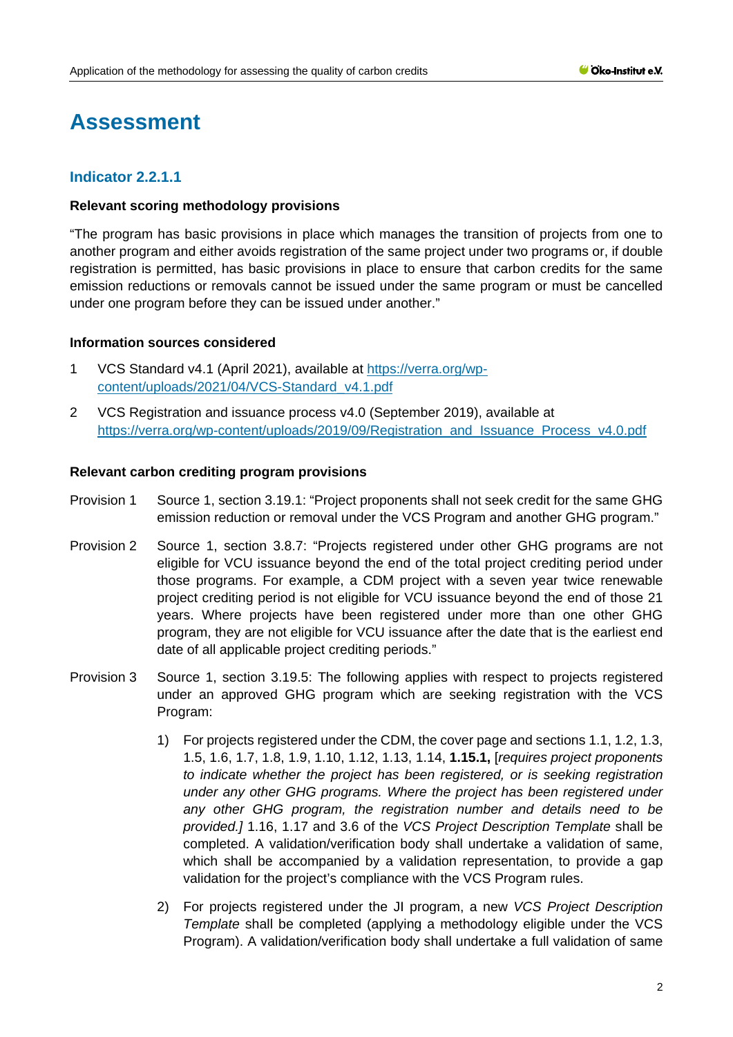# **Assessment**

## **Indicator 2.2.1.1**

#### **Relevant scoring methodology provisions**

"The program has basic provisions in place which manages the transition of projects from one to another program and either avoids registration of the same project under two programs or, if double registration is permitted, has basic provisions in place to ensure that carbon credits for the same emission reductions or removals cannot be issued under the same program or must be cancelled under one program before they can be issued under another."

#### **Information sources considered**

- 1 VCS Standard v4.1 (April 2021), available at [https://verra.org/wp](https://verra.org/wp-content/uploads/2021/04/VCS-Standard_v4.1.pdf)[content/uploads/2021/04/VCS-Standard\\_v4.1.pdf](https://verra.org/wp-content/uploads/2021/04/VCS-Standard_v4.1.pdf)
- 2 VCS Registration and issuance process v4.0 (September 2019), available at [https://verra.org/wp-content/uploads/2019/09/Registration\\_and\\_Issuance\\_Process\\_v4.0.pdf](https://verra.org/wp-content/uploads/2019/09/Registration_and_Issuance_Process_v4.0.pdf)

#### **Relevant carbon crediting program provisions**

- Provision 1 Source 1, section 3.19.1: "Project proponents shall not seek credit for the same GHG emission reduction or removal under the VCS Program and another GHG program."
- Provision 2 Source 1, section 3.8.7: "Projects registered under other GHG programs are not eligible for VCU issuance beyond the end of the total project crediting period under those programs. For example, a CDM project with a seven year twice renewable project crediting period is not eligible for VCU issuance beyond the end of those 21 years. Where projects have been registered under more than one other GHG program, they are not eligible for VCU issuance after the date that is the earliest end date of all applicable project crediting periods."
- Provision 3 Source 1, section 3.19.5: The following applies with respect to projects registered under an approved GHG program which are seeking registration with the VCS Program:
	- 1) For projects registered under the CDM, the cover page and sections 1.1, 1.2, 1.3, 1.5, 1.6, 1.7, 1.8, 1.9, 1.10, 1.12, 1.13, 1.14, **1.15.1,** [*requires project proponents to indicate whether the project has been registered, or is seeking registration under any other GHG programs. Where the project has been registered under any other GHG program, the registration number and details need to be provided.]* 1.16, 1.17 and 3.6 of the *VCS Project Description Template* shall be completed. A validation/verification body shall undertake a validation of same, which shall be accompanied by a validation representation, to provide a gap validation for the project's compliance with the VCS Program rules.
	- 2) For projects registered under the JI program, a new *VCS Project Description Template* shall be completed (applying a methodology eligible under the VCS Program). A validation/verification body shall undertake a full validation of same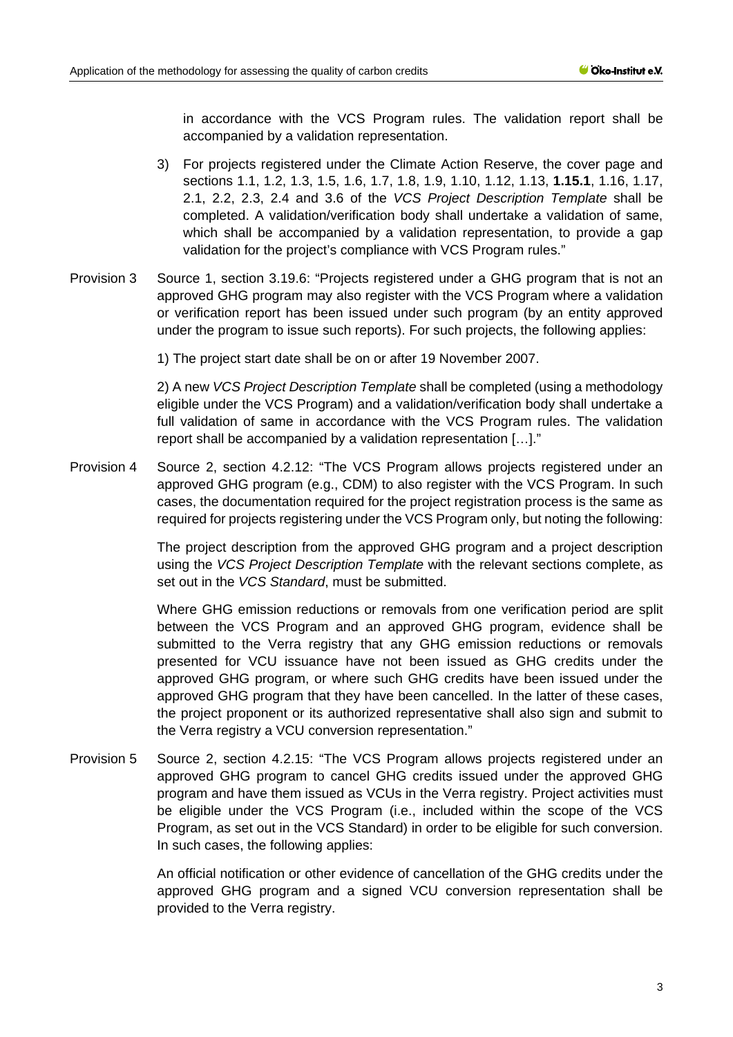in accordance with the VCS Program rules. The validation report shall be accompanied by a validation representation.

- 3) For projects registered under the Climate Action Reserve, the cover page and sections 1.1, 1.2, 1.3, 1.5, 1.6, 1.7, 1.8, 1.9, 1.10, 1.12, 1.13, **1.15.1**, 1.16, 1.17, 2.1, 2.2, 2.3, 2.4 and 3.6 of the *VCS Project Description Template* shall be completed. A validation/verification body shall undertake a validation of same, which shall be accompanied by a validation representation, to provide a gap validation for the project's compliance with VCS Program rules."
- Provision 3 Source 1, section 3.19.6: "Projects registered under a GHG program that is not an approved GHG program may also register with the VCS Program where a validation or verification report has been issued under such program (by an entity approved under the program to issue such reports). For such projects, the following applies:

1) The project start date shall be on or after 19 November 2007.

2) A new *VCS Project Description Template* shall be completed (using a methodology eligible under the VCS Program) and a validation/verification body shall undertake a full validation of same in accordance with the VCS Program rules. The validation report shall be accompanied by a validation representation […]."

Provision 4 Source 2, section 4.2.12: "The VCS Program allows projects registered under an approved GHG program (e.g., CDM) to also register with the VCS Program. In such cases, the documentation required for the project registration process is the same as required for projects registering under the VCS Program only, but noting the following:

> The project description from the approved GHG program and a project description using the *VCS Project Description Template* with the relevant sections complete, as set out in the *VCS Standard*, must be submitted.

> Where GHG emission reductions or removals from one verification period are split between the VCS Program and an approved GHG program, evidence shall be submitted to the Verra registry that any GHG emission reductions or removals presented for VCU issuance have not been issued as GHG credits under the approved GHG program, or where such GHG credits have been issued under the approved GHG program that they have been cancelled. In the latter of these cases, the project proponent or its authorized representative shall also sign and submit to the Verra registry a VCU conversion representation."

Provision 5 Source 2, section 4.2.15: "The VCS Program allows projects registered under an approved GHG program to cancel GHG credits issued under the approved GHG program and have them issued as VCUs in the Verra registry. Project activities must be eligible under the VCS Program (i.e., included within the scope of the VCS Program, as set out in the VCS Standard) in order to be eligible for such conversion. In such cases, the following applies:

> An official notification or other evidence of cancellation of the GHG credits under the approved GHG program and a signed VCU conversion representation shall be provided to the Verra registry.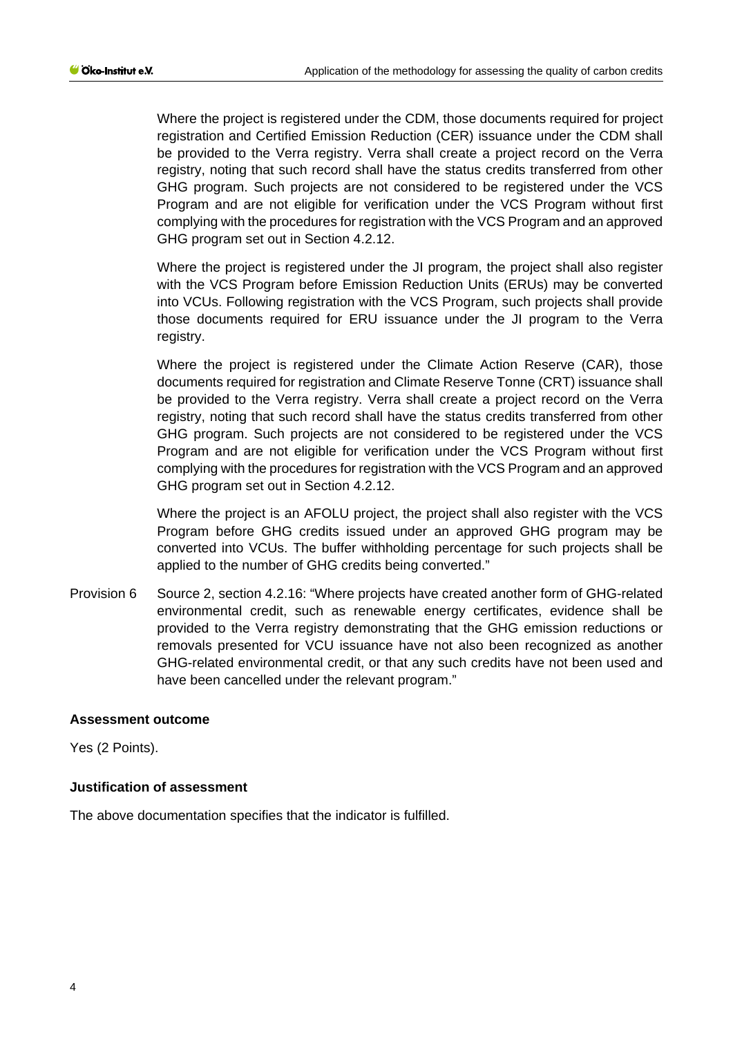Where the project is registered under the CDM, those documents required for project registration and Certified Emission Reduction (CER) issuance under the CDM shall be provided to the Verra registry. Verra shall create a project record on the Verra registry, noting that such record shall have the status credits transferred from other GHG program. Such projects are not considered to be registered under the VCS Program and are not eligible for verification under the VCS Program without first complying with the procedures for registration with the VCS Program and an approved GHG program set out in Section 4.2.12.

Where the project is registered under the JI program, the project shall also register with the VCS Program before Emission Reduction Units (ERUs) may be converted into VCUs. Following registration with the VCS Program, such projects shall provide those documents required for ERU issuance under the JI program to the Verra registry.

Where the project is registered under the Climate Action Reserve (CAR), those documents required for registration and Climate Reserve Tonne (CRT) issuance shall be provided to the Verra registry. Verra shall create a project record on the Verra registry, noting that such record shall have the status credits transferred from other GHG program. Such projects are not considered to be registered under the VCS Program and are not eligible for verification under the VCS Program without first complying with the procedures for registration with the VCS Program and an approved GHG program set out in Section 4.2.12.

Where the project is an AFOLU project, the project shall also register with the VCS Program before GHG credits issued under an approved GHG program may be converted into VCUs. The buffer withholding percentage for such projects shall be applied to the number of GHG credits being converted."

Provision 6 Source 2, section 4.2.16: "Where projects have created another form of GHG-related environmental credit, such as renewable energy certificates, evidence shall be provided to the Verra registry demonstrating that the GHG emission reductions or removals presented for VCU issuance have not also been recognized as another GHG-related environmental credit, or that any such credits have not been used and have been cancelled under the relevant program."

#### **Assessment outcome**

Yes (2 Points).

#### **Justification of assessment**

The above documentation specifies that the indicator is fulfilled.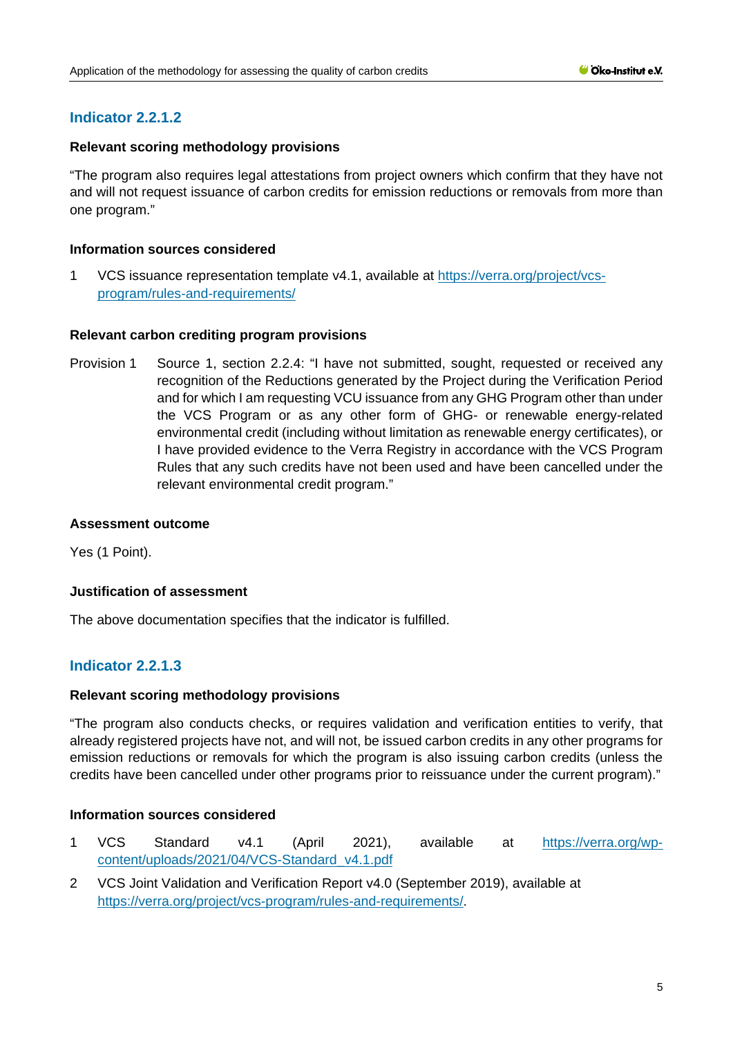## **Indicator 2.2.1.2**

#### **Relevant scoring methodology provisions**

"The program also requires legal attestations from project owners which confirm that they have not and will not request issuance of carbon credits for emission reductions or removals from more than one program."

#### **Information sources considered**

1 VCS issuance representation template v4.1, available at [https://verra.org/project/vcs](https://verra.org/project/vcs-program/rules-and-requirements/)[program/rules-and-requirements/](https://verra.org/project/vcs-program/rules-and-requirements/)

#### **Relevant carbon crediting program provisions**

Provision 1 Source 1, section 2.2.4: "I have not submitted, sought, requested or received any recognition of the Reductions generated by the Project during the Verification Period and for which I am requesting VCU issuance from any GHG Program other than under the VCS Program or as any other form of GHG- or renewable energy-related environmental credit (including without limitation as renewable energy certificates), or I have provided evidence to the Verra Registry in accordance with the VCS Program Rules that any such credits have not been used and have been cancelled under the relevant environmental credit program."

#### **Assessment outcome**

Yes (1 Point).

#### **Justification of assessment**

The above documentation specifies that the indicator is fulfilled.

### **Indicator 2.2.1.3**

#### **Relevant scoring methodology provisions**

"The program also conducts checks, or requires validation and verification entities to verify, that already registered projects have not, and will not, be issued carbon credits in any other programs for emission reductions or removals for which the program is also issuing carbon credits (unless the credits have been cancelled under other programs prior to reissuance under the current program)."

#### **Information sources considered**

- 1 VCS Standard v4.1 (April 2021), available at [https://verra.org/wp](https://verra.org/wp-content/uploads/2021/04/VCS-Standard_v4.1.pdf)[content/uploads/2021/04/VCS-Standard\\_v4.1.pdf](https://verra.org/wp-content/uploads/2021/04/VCS-Standard_v4.1.pdf)
- 2 VCS Joint Validation and Verification Report v4.0 (September 2019), available at [https://verra.org/project/vcs-program/rules-and-requirements/.](https://verra.org/project/vcs-program/rules-and-requirements/)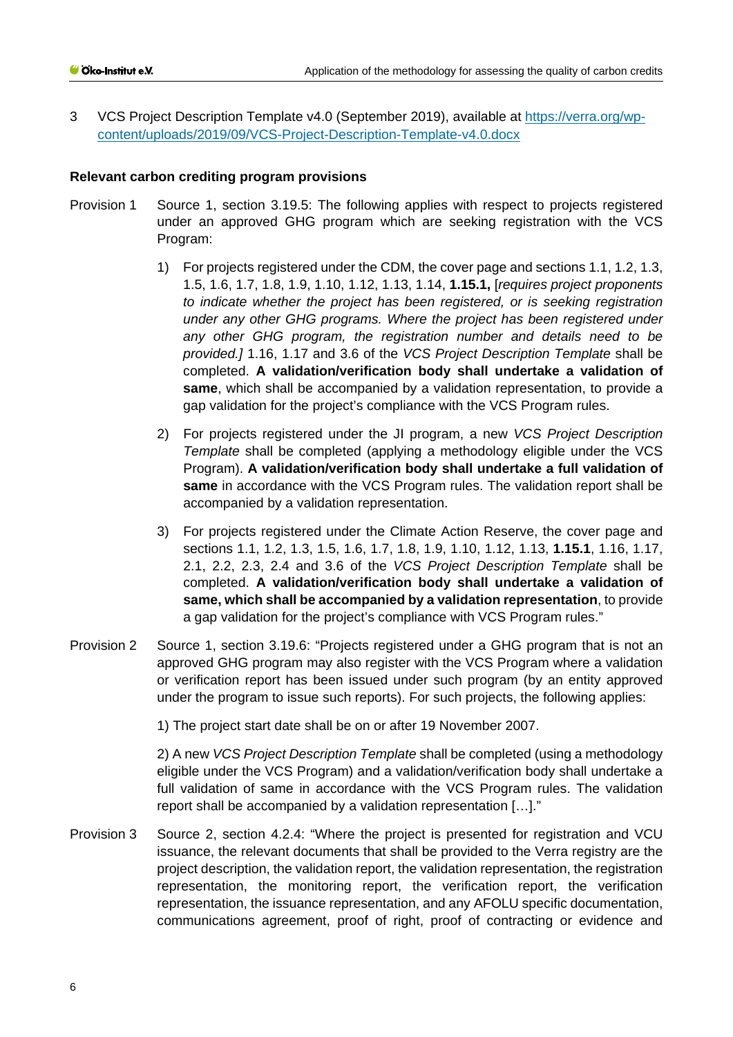3 VCS Project Description Template v4.0 (September 2019), available at [https://verra.org/wp](https://verra.org/wp-content/uploads/2019/09/VCS-Project-Description-Template-v4.0.docx)[content/uploads/2019/09/VCS-Project-Description-Template-v4.0.docx](https://verra.org/wp-content/uploads/2019/09/VCS-Project-Description-Template-v4.0.docx)

#### **Relevant carbon crediting program provisions**

- Provision 1 Source 1, section 3.19.5: The following applies with respect to projects registered under an approved GHG program which are seeking registration with the VCS Program:
	- 1) For projects registered under the CDM, the cover page and sections 1.1, 1.2, 1.3, 1.5, 1.6, 1.7, 1.8, 1.9, 1.10, 1.12, 1.13, 1.14, **1.15.1,** [*requires project proponents to indicate whether the project has been registered, or is seeking registration under any other GHG programs. Where the project has been registered under any other GHG program, the registration number and details need to be provided.]* 1.16, 1.17 and 3.6 of the *VCS Project Description Template* shall be completed. **A validation/verification body shall undertake a validation of same**, which shall be accompanied by a validation representation, to provide a gap validation for the project's compliance with the VCS Program rules.
	- 2) For projects registered under the JI program, a new *VCS Project Description Template* shall be completed (applying a methodology eligible under the VCS Program). **A validation/verification body shall undertake a full validation of same** in accordance with the VCS Program rules. The validation report shall be accompanied by a validation representation.
	- 3) For projects registered under the Climate Action Reserve, the cover page and sections 1.1, 1.2, 1.3, 1.5, 1.6, 1.7, 1.8, 1.9, 1.10, 1.12, 1.13, **1.15.1**, 1.16, 1.17, 2.1, 2.2, 2.3, 2.4 and 3.6 of the *VCS Project Description Template* shall be completed. **A validation/verification body shall undertake a validation of same, which shall be accompanied by a validation representation**, to provide a gap validation for the project's compliance with VCS Program rules."
- Provision 2 Source 1, section 3.19.6: "Projects registered under a GHG program that is not an approved GHG program may also register with the VCS Program where a validation or verification report has been issued under such program (by an entity approved under the program to issue such reports). For such projects, the following applies:

1) The project start date shall be on or after 19 November 2007.

2) A new *VCS Project Description Template* shall be completed (using a methodology eligible under the VCS Program) and a validation/verification body shall undertake a full validation of same in accordance with the VCS Program rules. The validation report shall be accompanied by a validation representation […]."

Provision 3 Source 2, section 4.2.4: "Where the project is presented for registration and VCU issuance, the relevant documents that shall be provided to the Verra registry are the project description, the validation report, the validation representation, the registration representation, the monitoring report, the verification report, the verification representation, the issuance representation, and any AFOLU specific documentation, communications agreement, proof of right, proof of contracting or evidence and